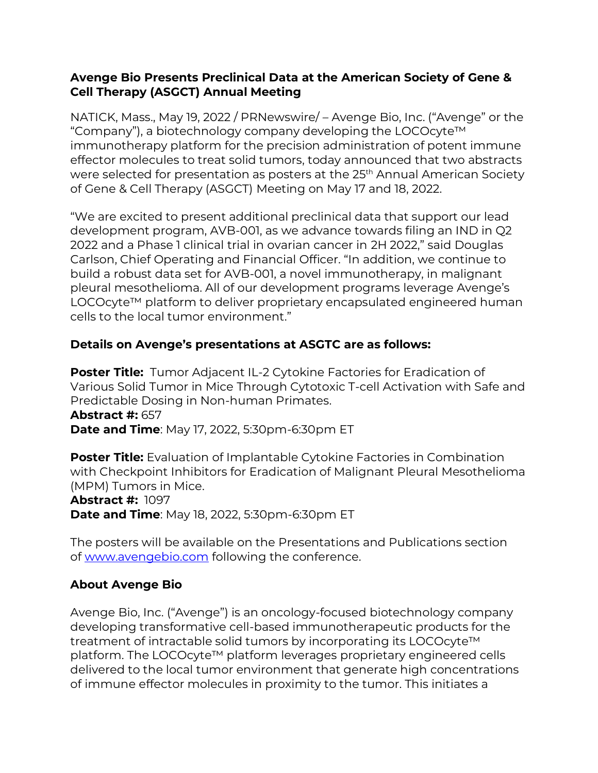#### **Avenge Bio Presents Preclinical Data at the American Society of Gene & Cell Therapy (ASGCT) Annual Meeting**

NATICK, Mass., May 19, 2022 / PRNewswire/ – Avenge Bio, Inc. ("Avenge" or the "Company"), a biotechnology company developing the LOCOcyte™ immunotherapy platform for the precision administration of potent immune effector molecules to treat solid tumors, today announced that two abstracts were selected for presentation as posters at the 25<sup>th</sup> Annual American Society of Gene & Cell Therapy (ASGCT) Meeting on May 17 and 18, 2022.

"We are excited to present additional preclinical data that support our lead development program, AVB-001, as we advance towards filing an IND in Q2 2022 and a Phase 1 clinical trial in ovarian cancer in 2H 2022," said Douglas Carlson, Chief Operating and Financial Officer. "In addition, we continue to build a robust data set for AVB-001, a novel immunotherapy, in malignant pleural mesothelioma. All of our development programs leverage Avenge's LOCOcyte™ platform to deliver proprietary encapsulated engineered human cells to the local tumor environment."

### **Details on Avenge's presentations at ASGTC are as follows:**

**Poster Title:** Tumor Adjacent IL-2 Cytokine Factories for Eradication of Various Solid Tumor in Mice Through Cytotoxic T-cell Activation with Safe and Predictable Dosing in Non-human Primates.

**Abstract #:** 657 **Date and Time**: May 17, 2022, 5:30pm-6:30pm ET

**Poster Title:** Evaluation of Implantable Cytokine Factories in Combination with Checkpoint Inhibitors for Eradication of Malignant Pleural Mesothelioma (MPM) Tumors in Mice.

# **Abstract #:** 1097

**Date and Time**: May 18, 2022, 5:30pm-6:30pm ET

The posters will be available on the Presentations and Publications section of [www.avengebio.com](http://www.avengebio.com/) following the conference.

### **About Avenge Bio**

Avenge Bio, Inc. ("Avenge") is an oncology-focused biotechnology company developing transformative cell-based immunotherapeutic products for the treatment of intractable solid tumors by incorporating its LOCOcyte™ platform. The LOCOcyte™ platform leverages proprietary engineered cells delivered to the local tumor environment that generate high concentrations of immune effector molecules in proximity to the tumor. This initiates a